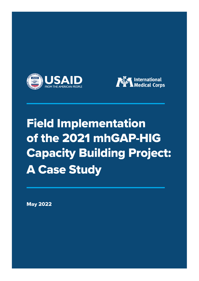



# **Field Implementation** of the 2021 mhGAP-HIG **Capacity Building Project: A Case Study**

**May 2022**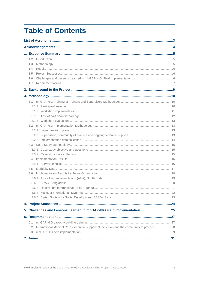# **Table of Contents**

| 1.2                                                                                                       |  |
|-----------------------------------------------------------------------------------------------------------|--|
| 1.3                                                                                                       |  |
| 1.4                                                                                                       |  |
| 1.5                                                                                                       |  |
| 1.6                                                                                                       |  |
| 1.7                                                                                                       |  |
|                                                                                                           |  |
|                                                                                                           |  |
|                                                                                                           |  |
|                                                                                                           |  |
|                                                                                                           |  |
|                                                                                                           |  |
|                                                                                                           |  |
|                                                                                                           |  |
|                                                                                                           |  |
|                                                                                                           |  |
|                                                                                                           |  |
|                                                                                                           |  |
|                                                                                                           |  |
|                                                                                                           |  |
|                                                                                                           |  |
|                                                                                                           |  |
| 3.5<br>3.6                                                                                                |  |
|                                                                                                           |  |
|                                                                                                           |  |
|                                                                                                           |  |
|                                                                                                           |  |
|                                                                                                           |  |
|                                                                                                           |  |
| 5. Challenges and Lessons Learned in mhGAP-HIG Field Implementation  25                                   |  |
|                                                                                                           |  |
|                                                                                                           |  |
| 6.1<br>International Medical Corps technical support: Supervision and the community of practice 28<br>6.2 |  |
| 6.3                                                                                                       |  |
|                                                                                                           |  |
|                                                                                                           |  |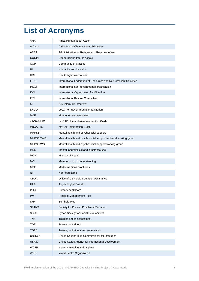# <span id="page-2-0"></span>**List of Acronyms**

| AHA              | Africa Humanitarian Action                                       |
|------------------|------------------------------------------------------------------|
| <b>AICHM</b>     | Africa Inland Church Health Ministries                           |
| ARRA             | Administration for Refugee and Returnee Affairs                  |
| <b>COOPI</b>     | Cooperazione Internazionale                                      |
| COP              | Community of practice                                            |
| HI               | Humanity and Inclusion                                           |
| <b>HRI</b>       | HealthRight International                                        |
| <b>IFRC</b>      | International Federation of Red Cross and Red Crescent Societies |
| <b>INGO</b>      | International non-governmental organization                      |
| <b>IOM</b>       | International Organization for Migration                         |
| <b>IRC</b>       | International Rescue Committee                                   |
| KII              | Key informant interview                                          |
| <b>LNGO</b>      | Local non-governmental organization                              |
| M&E              | Monitoring and evaluation                                        |
| mhGAP-HIG        | mhGAP Humanitarian Intervention Guide                            |
| mhGAP-IG         | mhGAP Intervention Guide                                         |
| <b>MHPSS</b>     | Mental health and psychosocial support                           |
| <b>MHPSS TWG</b> | Mental health and psychosocial support technical working group   |
| <b>MHPSS WG</b>  | Mental health and psychosocial support working group             |
| <b>MNS</b>       | Mental, neurological and substance use                           |
| <b>MOH</b>       | Ministry of Health                                               |
| <b>MOU</b>       | Memorandum of understanding                                      |
| <b>MSF</b>       | <b>Medecins Sans Frontieres</b>                                  |
| <b>NFI</b>       | Non-food items                                                   |
| <b>OFDA</b>      | Office of US Foreign Disaster Assistance                         |
| <b>PFA</b>       | Psychological first aid                                          |
| PHC              | Primary healthcare                                               |
| $PM+$            | Problem Management Plus                                          |
| $SH+$            | Self-help Plus                                                   |
| <b>SPANS</b>     | Society for Pre and Post Natal Services                          |
| SSSD             | Syrian Society for Social Development                            |
| <b>TNA</b>       | Training needs assessment                                        |
| <b>TOT</b>       | Training of trainers                                             |
| <b>TOTS</b>      | Training of trainers and supervisors                             |
| <b>UNHCR</b>     | United Nations High Commissioner for Refugees                    |
| <b>USAID</b>     | United States Agency for International Development               |
| WASH             | Water, sanitation and hygiene                                    |
| <b>WHO</b>       | World Health Organization                                        |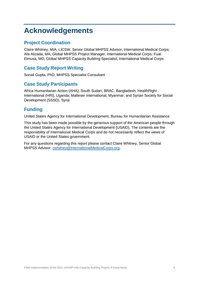# <span id="page-3-0"></span>**Acknowledgements**

### **Project Coordination**

Claire Whitney, MIA, LICSW, Senior Global MHPSS Advisor, International Medical Corps; Afa Alizada, MA, Global MHPSS Project Manager, International Medical Corps; Fuat Elmusa, MD, Global MHPSS Capacity Building Specialist, International Medical Corps

# **Case Study Report Writing**

Sonali Gupta, PhD, MHPSS Specialist Consultant

### **Case Study Participants**

Africa Humanitarian Action (AHA), South Sudan; BRAC, Bangladesh; HealthRight International (HRI), Uganda; Malteser International, Myanmar; and Syrian Society for Social Development (SSSD), Syria

# **Funding**

United States Agency for International Development, Bureau for Humanitarian Assistance

This study has been made possible by the generous support of the American people through the United States Agency for International Development (USAID). The contents are the responsibility of International Medical Corps and do not necessarily reflect the views of USAID or the United States government.

For any questions regarding this report please contact Claire Whitney, Senior Global MHPSS Advisor: [cwhitney@InternationalMedicalCorps.org.](mailto:cwhitney@InternationalMedicalCorps.org)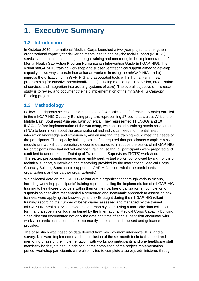# <span id="page-4-0"></span>**1. Executive Summary**

# <span id="page-4-1"></span>**1.2 Introduction**

In October 2020, International Medical Corps launched a two-year project to strengthen organizational capacity for delivering mental health and psychosocial support (MHPSS) services in humanitarian settings through training and mentoring in the implementation of Mental Health Gap Action Program Humanitarian Intervention Guide (mhGAP-HIG). The virtual mhGAP-HIG training workshop and subsequent technical support aimed to develop capacity in two ways: a) train humanitarian workers in using the mhGAP-HIG, and b) improve the utilization of mhGAP-HIG and associated tools within humanitarian health programming for effective operationalization (including monitoring, supervision, organization of services and integration into existing systems of care). The overall objective of this case study is to review and document the field implementation of the mhGAP-HIG Capacity Building project.

# <span id="page-4-2"></span>**1.3 Methodology**

Following a rigorous selection process, a total of 24 participants (8 female, 16 male) enrolled in the mhGAP-HIG Capacity Building program, representing 17 countries across Africa, the Middle East, Southeast Asia and Latin America. They represented 11 LNGOs and 10 INGOs. Before implementation of the workshop, we conducted a training needs assessment (TNA) to learn more about the organizational and individual needs for mental health integration knowledge and experience, and ensure that the training would meet the needs of the participants. The capacity building project first required that participants complete a sixmodule pre-workshop preparatory e course designed to introduce the basics of mhGAP-HIG for participants who had not yet attended training, so that all participants were prepared and confident to undertake the Training of Trainers and Supervisors (TOTS) workshop. Thereafter, participants engaged in an eight-week virtual workshop followed by six months of technical support, supervision and mentoring provided by the International Medical Corps Capacity Building Specialist to support mhGAP-HIG rollout within the participants' organizations or their partner organization(s).

We collected data on mhGAP-HIG rollout within organizations through various means, including workshop participants' training reports detailing the implementation of mhGAP-HIG training to healthcare providers within their or their partner organization(s); completion of supervision checklists that enabled a structured and systematic approach to assessing how trainees were applying the knowledge and skills taught during the mhGAP-HIG rollout training; recording the number of beneficiaries assessed and managed by the trained mhGAP-HIG health service providers on a monthly basis using a morbidity data collection form; and a supervision log maintained by the International Medical Corps Capacity Building Specialist that documented not only the date and time of each supervision encounter with workshop participants, but—more importantly—the content discussed and guidance provided.

The case study was based on data derived from key informant interviews (KIIs) and a survey. KIIs were implemented at the conclusion of the six-month technical support and mentoring phase of the implementation, with workshop participants and one healthcare staff member who they trained. In addition, at the completion of the project implementation period, workshop participants were also invited to complete a survey, administered through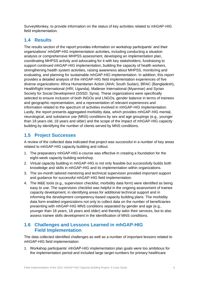SurveyMonkey, to provide information on the status of key activities related to mhGAP-HIG field implementation.

# <span id="page-5-0"></span>**1.4 Results**

The results section of the report provides information on workshop participants' and their organizations' mhGAP-HIG implementation activities, including conducting a situation analysis or comprehensive MHPSS assessment, developing an implementation plan, coordinating MHPSS activity and advocating for it with key stakeholders, fundraising to support continued mhGAP-HIG implementation, building the capacity of health workers, strengthening health system activities, raising awareness about MHPSS, monitoring and evaluating, and planning for sustainable mhGAP-HIG implementation. In addition, this report provides a detailed analysis of the mhGAP-HIG field implementation experiences of five diverse organizations: Africa Humanitarian Action (AHA; South Sudan), BRAC (Bangladesh), HealthRight International (HRI; Uganda), Malteser International (Myanmar) and Syrian Society for Social Development (SSSD; Syria). These organizations were specifically selected to ensure inclusion of both INGOs and LNGOs, gender balance in terms of trainees and geographic representation, and a representation of relevant experiences and information related to the spectrum of activities involved in mhGAP-HIG implementation. Lastly, the report presents aggregated morbidity data, which provides mhGAP-HIG mental, neurological, and substance use (MNS) conditions by sex and age groupings (e.g., younger than 18 years old, 18 years and older) and the scope of the impact of mhGAP-HIG capacity building by identifying the number of clients served by MNS conditions.

### <span id="page-5-1"></span>**1.5 Project Successes**

A review of the collected data indicated that project was successful in a number of key areas related to mhGAP-HIG capacity building and rollout:

- 1. The preparatory mhGAP-HIG e-course was effective in creating a foundation for the eight-week capacity building workshop.
- 2. Virtual capacity building in mhGAP-HIG is not only feasible but successfully builds both knowledge and skills in mhGAP-HIG and its implementation within organizations.
- 3. The six-month tailored mentoring and technical supervision provided important support and guidance for successful mhGAP-HIG field implementation.
- 4. The M&E tools (e.g., supervision checklist, morbidity data form) were identified as being easy to use. The supervision checklist was helpful in the ongoing assessment of trainee capacity development, in identifying areas for additional technical support and in informing the development competency-based capacity building plans. The morbidity data form enabled organizations not only to collect data on the number of beneficiaries presenting with mhGAP-HIG MNS conditions separated by gender and age (e.g., younger than 18 years, 18 years and older) and thereby tailor their services, but to also assess trainee skills development in the identification of MNS conditions.

# <span id="page-5-2"></span>**1.6 Challenges and Lessons Learned in mhGAP-HIG Field Implementation**

The data collected identified challenges as well as a number of important lessons related to mhGAP-HIG field implementation:

1. Workshop participants' mhGAP-HIG implementation plan goals were too ambitious for the implementation period and included large target numbers for primary healthcare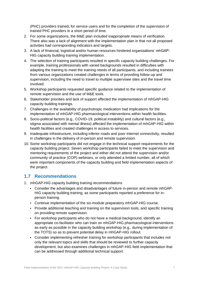(PHC) providers trained, for service users and for the completion of the supervision of trained PHC providers in a short period of time.

- 2. For some organizations, the M&E plan included inappropriate means of verification. There also was a lack of alignment with the implementation plan in that not all proposed activities had corresponding indicators and targets.
- 3. A lack of financial, logistical and/or human resources hindered organizations' mhGAP-HIG capacity building training implementation.
- 4. The selection of training participants resulted in specific capacity building challenges. For example, training professionals with varied backgrounds resulted in difficulties with adapting the training to meet the training needs of all participants, and including trainees from various organizations created challenges in terms of providing follow-up and supervision, including the need to travel to multiple supervisee sites and the travel time involved.
- 5. Workshop participants requested specific guidance related to the implementation of remote supervision and the use of M&E tools.
- 6. Stakeholder priorities and lack of support affected the implementation of mhGAP-HIG capacity building trainings.
- 7. Challenges in the availability of psychotropic medication had implications for the implementation of mhGAP-HIG pharmacological interventions within health facilities.
- 8. Socio-political factors (e.g., COVID-19, political instability) and cultural factors (e.g., stigma associated with mental illness) affected the implementation of mhGAP-HIG within health facilities and created challenges in access to services.
- 9. Inadequate infrastructure, including inferior roads and poor internet connectivity, resulted in challenges in the delivery of in-person and remote supervision.
- 10. Some workshop participants did not engage in the technical support requirements for the capacity building project. Seven workshop participants failed to meet the supervision and mentoring requirements of the project and either did not attend the supervision and/or community of practice (COP) webinars, or only attended a limited number, all of which were important components of the capacity building and field implementation aspects of the project.

### <span id="page-6-0"></span>**1.7 Recommendations**

- 1. mhGAP-HIG capacity building training recommendations
	- Consider the advantages and disadvantages of future in-person and remote mhGAP-HIG capacity building training, as some participants reported a preference for inperson training.
	- Continue implementation of the six-module preparatory mhGAP-HIG course.
	- Provide additional teaching and training on the supervision tools, and specific training on providing remote supervision.
	- For workshop participants who do not have a medical background, identify an appropriate co-facilitator who can train on mhGAP-HIG pharmacological interventions as early as possible in the capacity building workshop (e.g., during implementation of the TOTS) so as to prevent potential delay in mhGAP-HIG rollout.
	- Consider implementing refresher training for workshop participants that includes not only the relevant topics and skills that should be reviewed to further capacity development, but also examines challenges in mhGAP-HIG field implementation that can be addressed through additional technical support.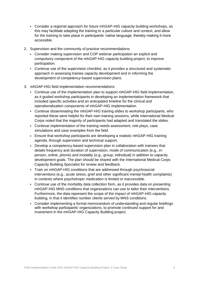- Consider a regional approach for future mhGAP-HIG capacity building workshops, as this may facilitate adapting the training to a particular culture and context, and allow for the training to take place in participants' native language, thereby making it more accessible.
- 2. Supervision and the community of practice recommendations
	- Consider making supervision and COP webinar participation an explicit and compulsory component of the mhGAP-HIG capacity building project, to improve participation.
	- Continue use of the supervision checklist, as it provides a structured and systematic approach in assessing trainee capacity development and in informing the development of competency-based supervision plans.
- 3. mhGAP-HIG field implementation recommendations
	- Continue use of the implementation plan to support mhGAP-HIG field implementation, as it guided workshop participants in developing an implementation framework that included specific activities and an anticipated timeline for the clinical and operationalization components of mhGAP-HIG implementation.
	- Continue disseminating the mhGAP-HIG training slides to workshop participants, who reported these were helpful for their own training sessions, while International Medical Corps noted that the majority of participants had adapted and translated the slides.
	- Continue implementation of the training needs assessment, role plays, case simulations and case examples from the field.
	- Ensure that workshop participants are developing a realistic mhGAP-HIG training agenda, through supervision and technical support.
	- Develop a competency-based supervision plan in collaboration with trainees that details frequency and duration of supervision, mode of communication (e.g., inperson, online, phone) and modality (e.g., group, individual) in addition to capacity development goals. The plan should be shared with the International Medical Corps Capacity Building Specialist for review and feedback.
	- Train on mhGAP-HIG conditions that are addressed through psychosocial interventions (e.g., acute stress, grief and other significant mental health complaints) in contexts where psychotropic medication is limited or inaccessible.
	- Continue use of the morbidity data collection form, as it provides data on presenting mhGAP-HIG MNS conditions that organizations can use to tailor their interventions. Furthermore, the data represent the scope of the impact of mhGAP-HIG capacity building, in that it identifies number clients served by MNS conditions.
	- Consider implementing a formal memorandum of understanding and regular briefings with workshop participants' organizations, to promote continued support for and investment in the mhGAP-HIG Capacity Building project.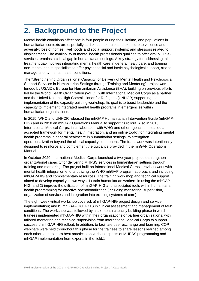# <span id="page-8-0"></span>**2. Background to the Project**

Mental health conditions affect one in four people during their lifetime, and populations in humanitarian contexts are especially at risk, due to increased exposure to violence and adversity; loss of homes, livelihoods and social support systems; and stressors related to displacement. The availability of mental health professionals qualified to offer vital MHPSS services remains a critical gap in humanitarian settings. A key strategy for addressing this treatment gap involves integrating mental health care in general healthcare, and training non-mental health specialists to offer psychosocial and basic psychological support, and to manage priority mental health conditions.

The "Strengthening Organizational Capacity for Delivery of Mental Health and Psychosocial Support Services in Humanitarian Settings through Training and Mentoring" project was funded by USAID's Bureau for Humanitarian Assistance (BHA), building on previous efforts led by the World Health Organization (WHO), with International Medical Corps as a partner and the United Nations High Commissioner for Refugees (UNHCR) supporting the implementation of the capacity building workshop. Its goal is to boost leadership and the capacity to implement integrated mental health programs in emergencies within humanitarian organizations.

In 2015, WHO and UNHCR released the mhGAP Humanitarian Intervention Guide (mhGAP-HIG) and in 2018 an mhGAP Operations Manual to support its rollout. Also in 2018, International Medical Corps, in collaboration with WHO and other agencies, released an accepted framework for mental health integration, and an online toolkit for integrating mental health programs in general healthcare in humanitarian settings, to strengthen operationalization beyond the clinical capacity component. The framework was intentionally designed to reinforce and complement the guidance provided in the mhGAP Operations Manual.

In October 2020, International Medical Corps launched a two-year project to strengthen organizational capacity for delivering MHPSS services in humanitarian settings through training and mentoring. The project built on International Medical Corps' previous work with mental health integration efforts utilizing the WHO mhGAP program approach, and including mhGAP-HIG and complementary resources. The training workshop and technical support aimed to develop capacity in two ways: 1) train humanitarian workers in using the mhGAP-HIG, and 2) improve the utilization of mhGAP-HIG and associated tools within humanitarian health programming for effective operationalization (including monitoring, supervision, organization of services and integration into existing systems of care).

The eight-week virtual workshop covered: a) mhGAP-HIG project design and service implementation; and b) mhGAP-HIG TOTS in clinical assessment and management of MNS conditions. The workshop was followed by a six-month capacity building phase in which trainees implemented mhGAP-HIG within their organizations or partner organizations, with tailored mentoring and technical supervision from International Medical Corps to support successful mhGAP-HIG rollout. In addition, to facilitate peer exchange and learning, COP webinars were held throughout this phase for the trainees to share lessons learned among each other, and to learn best practices on various aspects of MHPSS programming and mhGAP implementation from experts in the field.1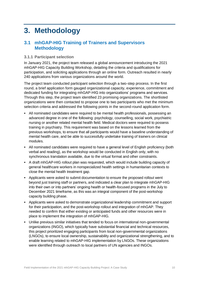# <span id="page-9-0"></span>**3. Methodology**

### <span id="page-9-1"></span>**3.1 mhGAP-HIG Training of Trainers and Supervisors Methodology**

#### <span id="page-9-2"></span>**3.1.1 Participant selection**

In January 2021, the project team released a global announcement introducing the 2021 mhGAP-HIG Capacity Building Workshop, detailing the criteria and qualifications for participation, and soliciting applications through an online form. Outreach resulted in nearly 240 applications from various organizations around the world.

The project team conducted participant selection through a two-step process. In the first round, a brief application form gauged organizational capacity, experience, commitment and dedicated funding for integrating mhGAP-HIG into organizations' programs and services. Through this step, the project team identified 23 promising organizations. The shortlisted organizations were then contacted to propose one to two participants who met the minimum selection criteria and addressed the following points in the second-round application form.

- All nominated candidates were required to be mental health professionals, possessing an advanced degree in one of the following: psychology, counselling, social work, psychiatric nursing or another related mental health field. Medical doctors were required to possess training in psychiatry. This requirement was based on the lessons learned from the previous workshops, to ensure that all participants would have a baseline understanding of mental health care, and be able to successfully undertake training of trainers on clinical modules.
- All nominated candidates were required to have a general level of English proficiency (both verbal and reading), as the workshop would be conducted in English only, with no synchronous translation available, due to the virtual format and other constraints.
- A draft mhGAP-HIG rollout plan was requested, which would include building capacity of general healthcare workers in nonspecialized health settings in humanitarian contexts to close the mental health treatment gap.
- Applicants were asked to submit documentation to ensure the proposed rollout went beyond just training staff or partners, and indicated a clear plan to integrate mhGAP-HIG into their own or into partners' ongoing health or health-focused programs in the July to December 2021 timeframe, as this was an integral component of the post-workshop capacity building phase.
- Applicants were asked to demonstrate organizational leadership commitment and support for their participation, and the post-workshop rollout and integration of mhGAP. They needed to confirm that either existing or anticipated funds and other resources were in place to implement the integration of mhGAP-HIG.
- Unlike previous similar initiatives that tended to focus on international non-governmental organizations (INGO), which typically have substantial financial and technical resources, this project prioritized engaging participants from local non-governmental organizations (LNGOs), to ensure local ownership, sustainability and organizational strengthening, and to enable learning related to mhGAP-HIG implementation by LNGOs. These organizations were identified through outreach to local partners of UN agencies and INGOs.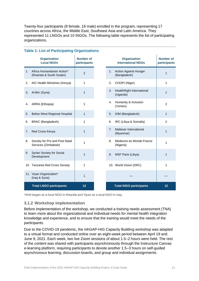Twenty-four participants (8 female, 16 male) enrolled in the program, representing 17 countries across Africa, the Middle East, Southeast Asia and Latin America. They represented 11 LNGOs and 10 INGOs. The following table represents the list of participating organizations.

|                | <b>Organization</b><br><b>Local NGOs</b>              | <b>Number of</b><br>participants |                | <b>Organization</b><br><b>International NGOs</b> | <b>Number of</b><br>participants |
|----------------|-------------------------------------------------------|----------------------------------|----------------|--------------------------------------------------|----------------------------------|
| 1 <sub>1</sub> | Africa Humanitarian Action*<br>(Rwanda & South Sudan) | 2                                | 1 <sub>1</sub> | <b>Action Against Hunger</b><br>(Bangladesh)     | 1                                |
| 2.             | AIC Health Ministries (Kenya)                         | 1                                | 2.             | COOPI (Niger)                                    | 1                                |
| 3.             | Al-Birr (Syria)                                       | 1                                | 3.             | HealthRight International<br>(Uganda)            | 1                                |
| 4.             | ARRA (Ethiopia)                                       | 1                                | 4.             | Humanity & Inclusion<br>(Yemen)                  | $\mathfrak{p}$                   |
| 5.             | <b>Belize West Regional Hospital</b>                  | 1                                | 5.             | IOM (Bangladesh)                                 | 1                                |
| 6.             | BRAC (Bangladesh)                                     | 1                                | 6.             | IRC (Libya & Somalia)                            | 2                                |
| 7.             | Red Cross Kenya                                       | $\mathbf{1}$                     | 7 <sub>1</sub> | Malteser International<br>(Myanmar)              | 1                                |
| 8.             | Society for Pre and Post Natal<br>Services (Zimbabwe) | 1                                | 8.             | Medecins du Monde France<br>(Nigeria)            | 1                                |
| 9.             | Syrian Society for Social<br>Development              | 1                                | 9.             | MSF Paris (Libya)                                | 1                                |
|                | 10. Tanzania Red Cross Society                        | 1                                |                | 10. World Vision (DRC)                           | 1                                |
|                | 11. Viyan Organization*<br>(Iraq & Syria)             | 1                                |                |                                                  |                                  |
|                | <b>Total LNGO participants</b>                        | 12                               |                | <b>Total INGO participants</b>                   | 12                               |

#### **Table 1: List of Participating Organizations**

*\*AHA began as a local NGO in Rwanda and Viyan as a local NGO in Iraq.*

#### <span id="page-10-0"></span>**3.1.2 Workshop implementation**

Before implementation of the workshop, we conducted a training needs assessment (TNA) to learn more about the organizational and individual needs for mental health integration knowledge and experience, and to ensure that the training would meet the needs of the participants.

Due to the COVID-19 pandemic, the mhGAP-HIG Capacity Building workshop was adapted to a virtual format and conducted online over an eight-week period between April 19 and June 9, 2021. Each week, two live Zoom sessions of about 1.5–2 hours were held. The rest of the content was shared with participants asynchronously through the Instructure Canvas e-learning platform, requiring participants to devote another 1.5–3 hours on self-guided asynchronous learning, discussion boards, and group and individual assignments.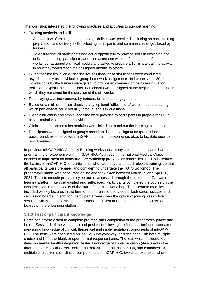The workshop integrated the following practices and activities to support learning.

- Training methods and skills:
	- An overview of training methods and guidelines was provided, including on basic training preparation and delivery skills, selecting participants and common challenges faced by trainers.
	- To ensure that all participants had equal opportunity to practice skills in designing and delivering training, participants were contacted one week before the start of the workshop, assigned a clinical module and asked to prepare a 10-minute training activity in how they would teach their assigned module to others.
- Given the time limitation during the live sessions, case simulations were conducted asynchronously as individual or group homework assignments. In live sessions, 30-minute introductions by the trainers were given, to provide an overview of the case simulation topics and explain the instructions. Participants were assigned at the beginning to groups in which they remained for the duration of the six weeks.
- Role playing was incorporated by trainers, to increase engagement.
- Based on a mid-term pulse-check survey, optional "office hours" were introduced during which participants could virtually "drop in" and ask questions.
- Clear instructions and ample lead time were provided to participants to prepare for TOTS, case simulations and other activities.
- Clinical and implementation modules were linked, to round out the learning experience.
- Participants were assigned to groups based on diverse backgrounds (professional background, experience with mhGAP, prior training experience, etc.), to facilitate peer-topeer learning.

In previous mhGAP-HIG Capacity Building workshops, many selected participants had no prior training or experience with mhGAP-HIG. As a result, International Medical Corps decided to implement an innovative pre-workshop preparatory phase designed to introduce the basics of mhGAP-HIG for participants who had not yet attended relevant training, so that all participants were prepared and confident to undertake the TOTS workshop. The preparatory phase was conducted online and took place between March 29 and April 18, 2021. This six-module preparatory e-course, accessed through the Instructure Canvas elearning platform, was self-guided and self-paced. Participants completed the course on their own time, within three weeks of the start of the main workshop. The e-course modules included weekly lectures in the form of brief pre-recorded videos, flash cards, quizzes and discussion boards. In addition, participants were given the option of joining weekly live sessions via Zoom to participate in discussions in lieu of responding to the discussion boards on the e-learning platform.

#### <span id="page-11-0"></span>**3.1.3 Test of participant knowledge**

Participants were asked to complete pre-test (after completion of the preparatory phase and before Session 1 of the workshop) and post-test (following the final session) questionnaires measuring knowledge of clinical, theoretical and implementation components of mhGAP-HIG. The tests were conducted online via SurveyMonkey, and designed with both multiple choice and fill-in-the-blank or open-format response items. The test, which included four items on mental health integration, tested knowledge of implementation (described in the International Medical Corps Toolkit and mhGAP Operations manual), and contained 13 multiple choice items on clinical components of mhGAP-HIG, two case examples where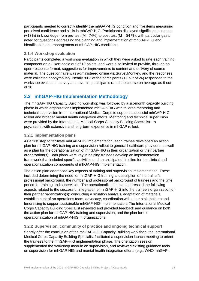participants needed to correctly identify the mhGAP-HIG condition and five items measuring perceived confidence and skills in mhGAP-HIG. Participants displayed significant increases  $(+13%)$  in knowledge from pre-test (M =74%) to post-test (M = 84 %), with particular gains noted for questions addressing the planning and implementation of mhGAP-HIG and identification and management of mhGAP-HIG conditions.

#### <span id="page-12-0"></span>**3.1.4 Workshop evaluation**

Participants completed a workshop evaluation in which they were asked to rate each training component on a Likert-scale out of 10 points, and were also invited to provide, through an open-response format, suggestions for improvements to content and delivery of course material. The questionnaire was administered online via SurveyMonkey, and the responses were collected anonymously. Nearly 80% of the participants (19 out of 24) responded to the workshop evaluation survey and, overall, participants rated the course on average as 9 out of 10.

# <span id="page-12-1"></span>**3.2 mhGAP-HIG Implementation Methodology**

The mhGAP-HIG Capacity Building workshop was followed by a six-month capacity building phase in which organizations implemented mhGAP-HIG with tailored mentoring and technical supervision from International Medical Corps to support successful mhGAP-HIG rollout and broader mental health integration efforts. Mentoring and technical supervision were provided by the International Medical Corps Capacity Building Specialist—a psychiatrist with extensive and long-term experience in mhGAP rollout.

#### <span id="page-12-2"></span>**3.2.1 Implementation plans**

As a first step to facilitate mhGAP-HIG implementation, each trainee developed an action plan for mhGAP-HIG training and supervision rollout to general healthcare providers, as well as a plan for the operationalization of mhGAP-HIG in their organization or their partner organization(s). Both plans were key in helping trainees develop an implementation framework that included specific activities and an anticipated timeline for the clinical and operationalization components of mhGAP-HIG implementation.

The action plan addressed key aspects of training and supervision implementation. These included determining the need for mhGAP-HIG training, a description of the trainer's professional background, the number and professional background of trainees and the time period for training and supervision. The operationalization plan addressed the following aspects related to the successful integration of mhGAP-HIG into the trainee's organization or their partner organization(s): conducting a situation analysis, adaptation of materials, establishment of an operations team, advocacy, coordination with other stakeholders and fundraising to support sustainable mhGAP-HIG implementation. The International Medical Corps Capacity Building Specialist reviewed and provided feedback and guidance on both the action plan for mhGAP-HIG training and supervision, and the plan for the operationalization of mhGAP-HIG in organizations.

#### <span id="page-12-3"></span>**3.2.2 Supervision, community of practice and ongoing technical support**

Shortly after the conclusion of the mhGAP-HIG Capacity Building workshop, the International Medical Corps Capacity Building Specialist facilitated a supervision launch meeting to orient the trainees to the mhGAP-HIG implementation phase. The orientation session supplemented the workshop module on supervision, and reviewed existing guidance tools on supervision for mhGAP-HIG and mental health integration efforts (e.g., WHO mhGAP-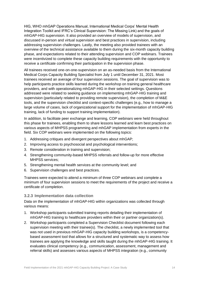HIG, WHO mhGAP Operations Manual, International Medical Corps' Mental Health Integration Toolkit and IFRC's Clinical Supervision: The Missing Link) and the goals of mhGAP-HIG supervision. It also provided an overview of models of supervision, and discussed in-person and virtual supervision and best practices in supervision, including addressing supervision challenges. Lastly, the meeting also provided trainees with an overview of the technical assistance available to them during the six-month capacity building phase, and expectations related to their attending supervision and COP webinars. Trainees were incentivized to complete these capacity building requirements with the opportunity to receive a certificate confirming their participation in the supervision phase.

All trainees received one-on-one-supervision on an as-needed basis from the International Medical Corps Capacity Building Specialist from July 1 until December 31, 2021. Most trainees received an average of four supervision sessions. The goal of supervision was to help participants practice skills learned during the workshop on training general healthcare providers, and with operationalizing mhGAP-HIG in their selected settings. Questions addressed were related to seeking guidance on implementing mhGAP-HIG training and supervision (particularly related to providing remote supervision), the completion of M&E tools, and the supervision checklist and context-specific challenges (e.g., how to manage a large volume of cases, lack of organizational support for the implementation of mhGAP-HIG training, lack of funding to support training implementation).

In addition, to facilitate peer exchange and learning, COP webinars were held throughout this phase for trainees, enabling them to share lessons learned and learn best practices on various aspects of MHPSS programming and mhGAP implementation from experts in the field. Six COP webinars were implemented on the following topics:

- 1. Addressing critiques and divergent perspectives about mhGAP;
- 2. Improving access to psychosocial and psychological interventions;
- 3. Remote consideration in training and supervision;
- 4. Strengthening community-based MHPSS referrals and follow-up for more effective MHPSS services;
- 5. Strengthening mental health services at the community level; and
- 6. Supervision challenges and best practices.

Trainees were expected to attend a minimum of three COP webinars and complete a minimum of four supervision sessions to meet the requirements of the project and receive a certificate of completion.

#### <span id="page-13-0"></span>**3.2.3 Implementation data collection**

Data on the implementation of mhGAP-HIG within organizations was collected through various means:

- 1. Workshop participants submitted training reports detailing their implementation of mhGAP-HIG training to healthcare providers within their or partner organization(s).
- 2. Workshop participants completed a Supervision Checklist document following each supervision meeting with their trainee(s). The checklist, a newly implemented tool that was not used in previous mhGAP-HIG capacity building workshops, is a competencybased assessment tool that allows for a structured and systematic way to assess how trainees are applying the knowledge and skills taught during the mhGAP-HIG training. It evaluates clinical competency (e.g., communication, assessment, management and referral skills) and assesses various aspects of MHPSS integration (e.g., community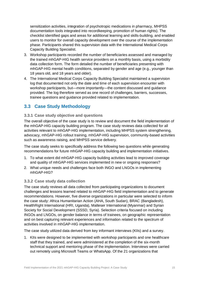sensitization activities, integration of psychotropic medications in pharmacy, MHPSS documentation tools integrated into recordkeeping, promotion of human rights). The checklist identified gaps and areas for additional learning and skills-building, and enabled users to monitor for overall capacity development over the course of the implementation phase. Participants shared this supervision data with the International Medical Corps Capacity Building Specialist.

- 3. Workshop participants recorded the number of beneficiaries assessed and managed by the trained mhGAP-HIG health service providers on a monthly basis, using a morbidity data collection form. The form detailed the number of beneficiaries presenting with mhGAP-HIG mental health conditions, separated by gender and age (e.g., younger than 18 years old, and 18 years and older).
- 4. The International Medical Corps Capacity Building Specialist maintained a supervision log that documented not only the date and time of each supervision encounter with workshop participants, but—more importantly—the content discussed and guidance provided. The log therefore served as one record of challenges, barriers, successes, trainee questions and guidance provided related to implementation.

# <span id="page-14-0"></span>**3.3 Case Study Methodology**

#### <span id="page-14-1"></span>**3.3.1 Case study objective and questions**

The overall objective of the case study is to review and document the field implementation of the mhGAP-HIG capacity building program. The case study reviews data collected for all activities relevant to mhGAP-HIG implementation, including MHPSS system strengthening, advocacy, mhGAP-HIG rollout training, mhGAP-HIG supervision, community-based activities such as awareness raising, and MHPSS service delivery.

The case study seeks to specifically address the following two questions while generating recommendations for future mhGAP-HIG capacity building and implementation initiatives.

- 1. To what extent did mhGAP-HIG capacity building activities lead to improved coverage and quality of mhGAP-HIG services implemented in new or ongoing responses?
- 2. What unique needs and challenges face both INGO and LNGOs in implementing mhGAP-HIG?

#### <span id="page-14-2"></span>**3.3.2 Case study data collection**

The case study reviews all data collected from participating organizations to document challenges and lessons learned related to mhGAP-HIG field implementation and to generate recommendations. However, five diverse organizations in particular were selected to inform the case study: Africa Humanitarian Action (AHA, South Sudan), BRAC (Bangladesh), HealthRight International (HRI, Uganda), Malteser International (Myanmar) and Syrian Society for Social Development (SSSD, Syria). Selection criteria focused on including INGOs and LNGOs, on gender balance in terms of trainees, on geographic representation and on best capturing relevant experiences and information related to the spectrum of activities involved in mhGAP-HIG implementation.

The case study utilized data derived from key informant interviews (KIIs) and a survey.

1. KIIs were designed to be implemented with workshop participants and one healthcare staff that they trained, and were administered at the completion of the six-month technical support and mentoring phase of the implementation. Interviews were carried out remotely using Microsoft Teams or WhatsApp. Of the 21 organizations that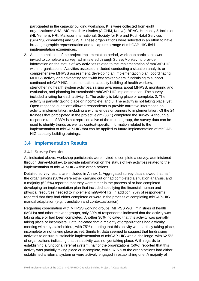participated in the capacity building workshop, KIIs were collected from eight organizations: AHA, AIC Health Ministries (AICHM, Kenya), BRAC, Humanity & Inclusion (HI, Yemen), HRI, Malteser International, Society for Pre and Post Natal Services (SPANS, Zimbabwe) and SSSD. These organizations were selected in an effort to have broad geographic representation and to capture a range of mhGAP-HIG field implementation experiences.

2. At the completion of the project implementation period, workshop participants were invited to complete a survey, administered through SurveyMonkey, to provide information on the status of key activities related to the implementation of mhGAP-HIG within organizations. Activities assessed included conducting a situation analysis or comprehensive MHPSS assessment, developing an implementation plan, coordinating MHPSS activity and advocating for it with key stakeholders, fundraising to support continued mhGAP-HIG implementation, capacity building of health workers, strengthening health system activities, raising awareness about MHPSS, monitoring and evaluation, and planning for sustainable mhGAP-HIG implementation. The survey included a rating for each activity: 1. The activity is taking place or complete; 2. The activity is partially taking place or incomplete; and 3. The activity is not taking place [yet]. Open-response questions allowed respondents to provide narrative information on activity implementation, including any challenges or barriers to implementation. Of the 24 trainees that participated in the project, eight (33%) completed the survey. Although a response rate of 33% is not representative of the trainee group, the survey data can be used to identify trends as well as context-specific information related to the implementation of mhGAP-HIG that can be applied to future implementation of mhGAP-HIG capacity building trainings.

# <span id="page-15-0"></span>**3.4 Implementation Results**

#### <span id="page-15-1"></span>**3.4.1 Survey Results**

As indicated above, workshop participants were invited to complete a survey, administered through SurveyMonkey, to provide information on the status of key activities related to the implementation of mhGAP-HIG within organizations.

Detailed survey results are included in Annex 1. Aggregated survey data showed that half the organizations (50%) were either carrying out or had completed a situation analysis, and a majority (62.5%) reported that they were either in the process of or had completed developing an implementation plan that included specifying the financial, human and physical resources needed to implement mhGAP-HIG. In addition, 75% of respondents reported that they had either completed or were in the process of completing mhGAP-HIG manual adaptation (e.g., translation and contextualization).

Regarding coordination with MHPSS working groups (MHPSS WG), ministries of health (MOHs) and other relevant groups, only 30% of respondents indicated that the activity was taking place or had been completed. Another 30% indicated that this activity was partially taking place or incomplete. Data indicated that a majority of organizations had difficulty meeting with key stakeholders, with 75% reporting that this activity was partially taking place, incomplete or not taking place as yet. Similarly, data seemed to suggest that fundraising activities to ensure sustainable implementation of mhGAP-HIG was a challenge, with 62.5% of organizations indicating that this activity was not yet taking place. With regards to establishing a functional referral system, half of the organizations (50%) reported that this activity was partially taking place or incomplete, while 37.5% of the organizations had either established a referral system or were actively engaged in establishing one. A majority of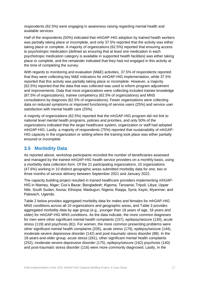respondents (62.5%) were engaging in awareness raising regarding mental health and available services.

Half of the respondents (50%) indicated that mhGAP-HIG adoption by trained health workers was partially taking place or incomplete, and only 37.5% reported that the activity was either taking place or complete. A majority of organizations (62.5%) reported that ensuring access to psychotropic medication (defined as ensuring that at least one medication in each psychotropic medication category is available in supported health facilities) was either taking place or complete, and the remainder indicated that they had not engaged in this activity at the time of completing the survey.

With regards to monitoring and evaluation (M&E) activities, 37.5% of respondents reported that they were collecting key M&E indicators for mhGAP-HIG implementation, while 37.5% reported that this activity was partially taking place or incomplete. However, a majority (62.5%) reported that the data that was collected was used to inform program adjustment and improvements. Data that most organizations were collecting included trainee knowledge (87.5% of organizations), trainee competency (62.5% of organizations) and MNS consultations by diagnosis (62.5% of organizations). Fewer organizations were collecting data on reduced symptoms or improved functioning of service users (25%) and service user satisfaction with mental health care (25%).

A majority of organizations (62.5%) reported that the mhGAP-HIG program did not link to national level mental health programs, policies and priorities, and only 50% of the organizations indicated that the larger healthcare system, organization or staff had adopted mhGAP-HIG. Lastly, a majority of respondents (75%) reported that sustainability of mhGAP-HIG capacity in the organization or setting where the training took place was either partially ensured or incomplete.

# <span id="page-16-0"></span>**3.5 Morbidity Data**

As reported above, workshop participants recorded the number of beneficiaries assessed and managed by the trained mhGAP-HIG health service providers on a monthly basis, using a morbidity data collection form. Of the 21 participating organizations, 10 organizations (47.6%) working in 10 distinct geographic areas submitted morbidity data for one, two or three months of service delivery between September 2021 and January 2022.

The capacity building project resulted in trained healthcare providers implementing mhGAP-HIG in Niamey, Niger; Cox's Bazar, Bangladesh; Kigoma, Tanzania; Tripoli, Libya; Upper Nile, South Sudan; Asosa, Ethiopia; Maiduguri, Nigeria; Raqqa, Syria; Kayin, Myanmar; and Pakwach, Uganda.

Table 2 below provides aggregated morbidity data for males and females for mhGAP-HIG MNS conditions across all 10 organizations and geographic areas, and Table 3 provides aggregated morbidity data by age group (e.g., younger than 18 years of age, 18 years and older) for mhGAP-HIG MNS conditions. As the data indicate, the more common diagnoses for men were other significant mental health complaints (157), epilepsy/seizure (130), acute stress (119) and psychosis (81). For women, the more common presenting problems were other significant mental health complaints (205), acute stress (176), epilepsy/seizure (144), moderate-severe depressive disorder (142) and post-traumatic stress disorder (88). In the 18-years-and-older group, acute stress (261), other significant mental health complaints (252), moderate-severe depressive disorder (175), epilepsy/seizure (162) psychosis (140) and post-traumatic stress disorder (116) were more commonly diagnosed. Lastly, in the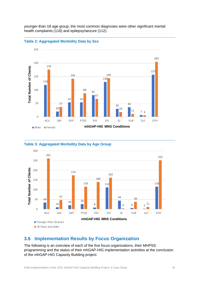younger-than-18 age group, the most common diagnoses were other significant mental health complaints (116) and epilepsy/seizure (112).







#### **Table 3: Aggregated Morbidity Data by Age Group**

#### <span id="page-17-0"></span>**3.6 Implementation Results by Focus Organization**

The following is an overview of each of the five focus organizations, their MHPSS programming and the status of their mhGAP-HIG implementation activities at the conclusion of the mhGAP-HIG Capacity Building project.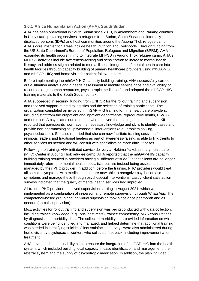#### <span id="page-18-0"></span>**3.6.1 Africa Humanitarian Action (AHA), South Sudan**

AHA has been operational in South Sudan since 2013, in Abiemnhom and Pariang counties in Unity state, providing services to refugees from Sudan, South Sudanese internally displaced persons (IDPs) and host communities around the Ajuong Thok refugee camp. AHA's core intervention areas include health, nutrition and livelihoods. Through funding from the US State Department's Bureau of Population, Refugees and Migration (BPRM), AHA expanded its health programming to integrate MHPSS in Ajuong Thok refugee camp. AHA's MHPSS activities include awareness-raising and sensitization to increase mental health literacy and address stigma related to mental illness; integration of mental health care into health facilities through capacity building of primary healthcare providers using mhGAP-IG and mhGAP-HIG; and home visits for patient follow-up care.

Before implementing the mhGAP-HIG capacity building training, AHA successfully carried out a situation analysis and a needs assessment to identify service gaps and availability of resources (e.g., human resources, psychotropic medication), and adapted the mhGAP-HIG training materials to the South Sudan context.

AHA succeeded in securing funding from UNHCR for the rollout training and supervision, and received support related to logistics and the selection of training participants. The organization completed an in-person mhGAP-HIG training for nine healthcare providers, including staff from the outpatient and inpatient departments, reproductive health, HIV/TB and nutrition. A psychiatric nurse trainee who received the training and completed a KII reported that participants now have the necessary knowledge and skills to identify cases and provide non-pharmacological, psychosocial interventions (e.g., problem solving, psychoeducation). She also reported that she can now facilitate training sessions for religious leaders and traditional healers as part of awareness-raising, is able to link clients to other services as needed and will consult with specialists on more difficult cases.

Following the training, AHA initiated service delivery at Hakima Yakob primary healthcare (PHC) Center in Ajoung Thok refugee camp. AHA reported that the mhGAP-HIG capacity building training resulted in providers having a "different attitude," in that clients are no longer immediately referred to mental health specialists, but are instead being assessed and managed by their PHC provider. In addition, before the training, PHC providers would treat all somatic symptoms with medication, but are now able to recognize psychosomatic symptoms and manage these through psychosocial interventions. Lastly, client satisfaction surveys indicated that the quality of mental health services had improved.

All trained PHC providers received supervision starting in August 2021, which was implemented as a combination of in-person and remote supervision through WhatsApp. The competency-based group and individual supervision took place once per month and as needed (on-call supervision).

M&E activities for rollout training and supervision was being conducted with data collection, including trainee knowledge (e.g., pre-/post-tests), trainee competency, MNS consultations by diagnosis and morbidity data. The collected morbidity data provided information on which conditions were being identified and managed, and helped determine that additional training was needed in identifying suicide. Client satisfaction surveys were also administered during home visits by psychosocial workers who collected feedback, including improvement after treatment.

AHA developed a sustainability plan to ensure the integration of mhGAP-HIG into the health system, which included building local capacity in case identification and management, the referral system and the supply of psychotropic medication. In addition, the plan included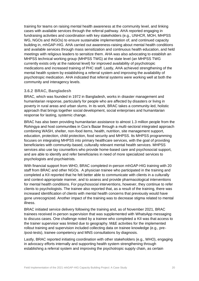training for teams on raising mental health awareness at the community level, and linking cases with available services through the referral pathway. AHA reported engaging in fundraising activities and coordination with key stakeholders (e.g., UNHCR, MOH, MHPSS WG, NGOs and INGOs) to ensure sustainable implementation of, and continued capacity building in, mhGAP-HIG. AHA carried out awareness-raising about mental health conditions and available services through mass sensitization and continuous health education, and held meetings with religious leaders to sensitize them. AHA was also advocating to establish an MHPSS technical working group (MHPSS TWG) at the state level (an MHPSS TWG currently exists only at the national level) for improved availability of psychotropic medications and increased training of PHC staff. Lastly, AHA achieved strengthening of the mental health system by establishing a referral system and improving the availability of psychotropic medication. AHA indicated that referral systems were working well at both the community and interagency levels.

#### <span id="page-19-0"></span>**3.6.2 BRAC, Bangladesh**

BRAC, which was founded in 1972 in Bangladesh, works in disaster management and humanitarian response, particularly for people who are affected by disasters or living in poverty in rural areas and urban slums. In its work, BRAC takes a community-led, holistic approach that brings together social development, social enterprises and humanitarian response for lasting, systemic change.

BRAC has also been providing humanitarian assistance to almost 1.3 million people from the Rohingya and host communities in Cox's Bazar through a multi-sectoral integrated approach combining WASH, shelter, non-food items, health, nutrition, site management support, education, protection, child protection, food security and MHPSS. Its MHPSS programming focuses on integrating MHPSS into primary healthcare services, with the goal of providing beneficiaries with community-based, culturally relevant mental health services. MHPSS services also use lay counsellors who provide home-based care and psychosocial support, and are able to identify and refer beneficiaries in need of more specialized services to psychologists and psychiatrists.

With financial support from WHO, BRAC completed in-person mhGAP-HIG training with 20 staff from BRAC and other NGOs. A physician trainee who participated in the training and completed a KII reported that he felt better able to communicate with clients in a culturally and context-appropriate manner, and to assess and provide pharmacological interventions for mental health conditions. For psychosocial interventions, however, they continue to refer clients to psychologists. The trainee also reported that, as a result of the training, there was increased identification of clients with mental health concerns that previously would have gone unrecognized. Another impact of the training was to decrease stigma related to mental illness.

BRAC initiated service delivery following the training and, as of November 2021, BRAC trainees received in-person supervision that was supplemented with WhatsApp messaging to discuss cases. One challenge noted by a trainee who completed a KII was that access to the trainer supervisor was limited due to geography. M&E activities for the implemented rollout training and supervision included collecting data on trainee knowledge (e.g., pre- /post-tests), trainee competency and MNS consultations by diagnosis.

Lastly, BRAC reported initiating coordination with other stakeholders (e.g., WHO), engaging in advocacy efforts internally and supporting health system strengthening through establishing a referral system and improving the psychotropic supply chain, as certain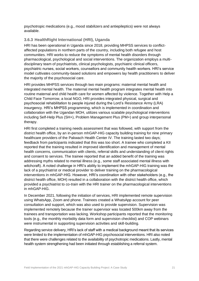psychotropic medications (e.g., mood stabilizers and antiepileptics) were not always available.

#### <span id="page-20-0"></span>**3.6.3 HealthRight International (HRI), Uganda**

HRI has been operational in Uganda since 2018, providing MHPSS services to conflictaffected populations in northern parts of the country, including both refugee and host communities. HRI works to reduce the symptoms of mental health disorders through pharmacological, psychological and social interventions. The organization employs a multidisciplinary team of psychiatrists, clinical psychologists, psychiatric clinical officers, psychiatric nurses, social workers, counsellors and community health workers. HRI's service model cultivates community-based solutions and empowers lay health practitioners to deliver the majority of the psychosocial care.

HRI provides MHPSS services through two main programs: maternal mental health and integrated mental health. The maternal mental health program integrates mental health into routine maternal and child health care for women affected by violence. Together with Help a Child Face Tomorrow, a local NGO, HRI provides integrated physical, surgical and psychosocial rehabilitation to people injured during the Lord's Resistance Army (LRA) insurgency. HRI's MHPSS programming, which is implemented in coordination and collaboration with the Ugandan MOH, utilizes various scalable psychological interventions including Self-Help Plus (SH+), Problem Management Plus (PM+) and group interpersonal therapy.

HRI first completed a training needs assessment that was followed, with support from the district health office, by an in-person mhGAP-HIG capacity building training for nine primary healthcare providers of the Pakwach Health Center IV. The training lasted two days; feedback from participants indicated that this was too short. A trainee who completed a KII reported that the training resulted in improved identification and management of mental health concerns, communication with clients, referral skills and understanding of client rights and consent to services. The trainee reported that an added benefit of the training was addressing myths related to mental illness (e.g., some staff associated mental illness with witchcraft). A noted challenge in HRI's ability to implement the mhGAP-HIG training was the lack of a psychiatrist or medical provider to deliver training on the pharmacological interventions in mhGAP-HIG. However, HRI's coordination with other stakeholders (e.g., the district health office, MOH) resulted in a collaboration with the district health office, which provided a psychiatrist to co-train with the HRI trainer on the pharmacological interventions in mhGAP-HIG.

In December 2021, following the initiation of services, HRI implemented remote supervision using WhatsApp, Zoom and phone. Trainees created a WhatsApp account for peer consultation and support, which was also used to provide supervision. Supervision was implemented remotely because the trainer supervisor was located 500km away from the trainees and transportation was lacking. Workshop participants reported that the monitoring tools (e.g., the monthly morbidity data form and supervision checklist) and COP webinars were instrumental in supporting supervision activities and skill-building.

Regarding service delivery, HRI's lack of staff with a medical background meant that its services were limited to the implementation of mhGAP-HIG psychosocial interventions. HRI also noted that there were challenges related to the availability of psychotropic medications. Lastly, mental health system strengthening had been initiated through establishing a referral system.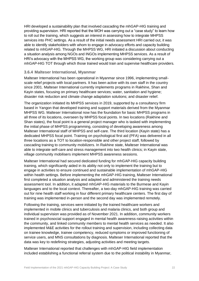HRI developed a sustainability plan that involved cascading the mhGAP-HIG training and providing supervision. HRI reported that the MOH was carrying out a "case study" to learn how to roll out the training, which suggests an interest in assessing how to integrate MHPSS services into PHC settings. As a result of the initial needs assessment HRI carried out, it was able to identify stakeholders with whom to engage in advocacy efforts and capacity building related to mhGAP-HIG. Through the MHPSS WG, HRI initiated a discussion about conducting a situation analysis among NGOs and INGOs implementing MHPSS services. As a result of HRI's advocacy with the MHPSS WG, the working group was considering carrying out a mhGAP-HIG TOT through which those trained would train and supervise healthcare providers.

#### <span id="page-21-0"></span>**3.6.4 Malteser International, Myanmar**

Malteser International has been operational in Myanmar since 1996, implementing smallscale relief projects with local partners. It has been active with its own staff in the country since 2001. Malteser International currently implements programs in Rakhine, Shan and Kayin states, focusing on primary healthcare services; water, sanitation and hygiene; disaster risk reduction and climate change adaptation solutions; and disaster relief.

The organization initiated its MHPSS services in 2019, supported by a consultancy firm based in Yangon that developed training and support materials derived from the Myanmar MHPSS WG. Malteser International now has the foundation for basic MHPSS programs in all three of its locations, overseen by MHPSS focal points. In two locations (Rakhine and Shan states), the focal point is a general project manager who is tasked with implementing the initial phase of MHPSS programming, consisting of developing awareness among Malteser International staff of MHPSS and self-care. The third location (Kayin state) has a dedicated MHPSS focal point. Training on psychological first aid (PFA) was delivered in all three locations as a TOT to location-responsible and other project staff, followed by cascading training to community mobilizers. In Rakhine state, Malteser International was able to integrate self-care and stress management into two health clinics; in Kayin state, village community mobilisers implement MHPSS awareness sessions.

Malteser International had secured dedicated funding for mhGAP-HIG capacity building training, which significantly aided in its ability not only to implement the training but to engage in activities to ensure continued and sustainable implementation of mhGAP-HIG within health settings. Before implementing the mhGAP-HIG training, Malteser International first completed a situation analysis and adapted and administered the training needs assessment tool. In addition, it adapted mhGAP-HIG materials to the Burmese and Kayin languages and to the local context. Thereafter, a two-day mhGAP-HIG training was carried out for nine health staff working in four different primary healthcare centers. The first day of training was implemented in-person and the second day was implemented remotely.

Following the training, services were initiated by the trained healthcare workers and implemented in mobile clinics and tuberculosis and malaria clinics, and both group and individual supervision was provided as of November 2021. In addition, community workers trained in psychosocial support engaged in mental health awareness-raising activities within the community, and linked community members to mental health services as needed. It also implemented M&E activities for the rollout training and supervision, including collecting data on trainee knowledge, trainee competency, reduced symptoms or improved functioning of service users, and MNS consultations by diagnosis. Malteser International reported that the data was key to redefining strategies, adjusting activities and meeting targets.

Malteser International reported that challenges with mhGAP-HIG field implementation included establishing a functional referral system due to the political instability in Myanmar,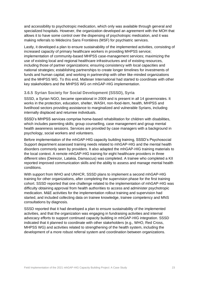and accessibility to psychotropic medication, which only was available through general and specialized hospitals. However, the organization developed an agreement with the MOH that allows it to have some control over the dispensing of psychotropic medication, and it was making referrals to Médecins Sans Frontières (MSF) for psychiatric services.

Lastly, it developed a plan to ensure sustainability of the implemented activities, consisting of increased capacity of primary healthcare workers in providing MHPSS service; implementation of community-based MHPSS case-management services; maximizing the use of existing local and regional healthcare infrastructures and of existing resources, including those of partner organizations; ensuring consistency with local capacities and national strategies; establishing partnerships to create longer timelines for investments of funds and human capital; and working in partnership with other like-minded organizations and the MHPSS WG. To this end, Malteser International had started to coordinate with other key stakeholders and the MHPSS WG on mhGAP-HIG implementation.

#### <span id="page-22-0"></span>**3.6.5 Syrian Society for Social Development (SSSD), Syria**

SSSD, a Syrian NGO, became operational in 2009 and is present in all 14 governorates. It works in the protection, education, shelter, WASH, non-food-item, health, MHPSS and livelihood sectors providing assistance to marginalized and vulnerable Syrians, including internally displaced and returnee individuals.

SSSD's MHPSS services comprise home-based rehabilitation for children with disabilities, which includes parenting skills; group counselling, case management and group mental health awareness sessions. Services are provided by case managers with a background in psychology, social workers and volunteers.

Before implementation of the mhGAP-HIG capacity building training, SSSD's Psychosocial Support department assessed training needs related to mhGAP-HIG and the mental health disorders commonly seen by providers. It also adapted the mhGAP-HIG training materials to the local context. A remote mhGAP-HIG training for eight healthcare providers in three different sites (Deirezor, Latakia, Damascus) was completed. A trainee who completed a KII reported improved communication skills and the ability to assess and manage mental health conditions.

With support from WHO and UNHCR, SSSD plans to implement a second mhGAP-HIG training for other organizations, after completing the supervision phase for the first training cohort. SSSD reported that one challenge related to the implementation of mhGAP-HIG was difficulty obtaining approval from health authorities to access and administer psychotropic medication. M&E activities for the implementation rollout training and supervision had started, and included collecting data on trainee knowledge, trainee competency and MNS consultations by diagnosis.

SSSD reported that it had developed a plan to ensure sustainability of the implemented activities, and that the organization was engaging in fundraising activities and internal advocacy efforts to support continued capacity building in mhGAP-HIG integration. SSSD indicated that it planned to coordinate with other stakeholders (e.g., WHO, Red Cross, MHPSS WG) and activities related to strengthening of the health system, including the development of a more robust referral system and coordination between organizations.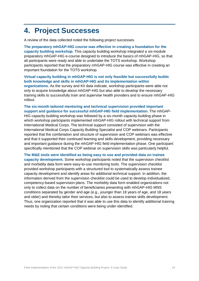# <span id="page-23-0"></span>**4. Project Successes**

rollout.

A review of the data collected noted the following project successes.

**The preparatory mhGAP-HIG course was effective in creating a foundation for the capacity building workshop.** This capacity building workshop integrated a six-module preparatory mhGAP-HIG e-course designed to introduce the basics of mhGAP-HIG, so that all participants were ready and able to undertake the TOTS workshop. Workshop participants reported that the preparatory mhGAP-HIG course was effective in creating an important foundation for the TOTS workshop.

**Virtual capacity building in mhGAP-HIG is not only feasible but successfully builds both knowledge and skills in mhGAP-HIG and its implementation within organizations.** As the survey and KII data indicate, workshop participants were able not only to acquire knowledge about mhGAP-HIG but also able to develop the necessary training skills to successfully train and supervise health providers and to ensure mhGAP-HIG

**The six-month tailored mentoring and technical supervision provided important support and guidance for successful mhGAP-HIG field implementation.** The mhGAP-HIG capacity building workshop was followed by a six-month capacity building phase in which workshop participants implemented mhGAP-HIG rollout with technical support from International Medical Corps. The technical support consisted of supervision with the International Medical Corps Capacity Building Specialist and COP webinars. Participants reported that the combination and structure of supervision and COP webinars was effective and that it supported their continued learning and skills development, providing necessary and important guidance during the mhGAP-HIG field implementation phase. One participant specifically mentioned that the COP webinar on supervision skills was particularly helpful.

**The M&E tools were identified as being easy to use and provided data on trainee capacity development.** Some workshop participants noted that the supervision checklist and morbidity data form were easy-to-use monitoring tools. The supervision checklist provided workshop participants with a structured tool to systematically assess trainee capacity development and identify areas for additional technical support. In addition, the information derived from the supervision checklist could be used to develop individualized, competency-based supervision plans. The morbidity data form enabled organizations not only to collect data on the number of beneficiaries presenting with mhGAP-HIG MNS conditions separated by gender and age (e.g., younger than 18 years of age, and 18 years and older) and thereby tailor their services, but also to assess trainee skills development. Thus, one organization reported that it was able to use this data to identify additional training needs by noting that certain conditions were being under-identified.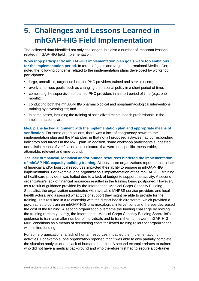# <span id="page-24-0"></span>**5. Challenges and Lessons Learned in mhGAP-HIG Field Implementation**

The collected data identified not only challenges, but also a number of important lessons related mhGAP-HIG field implementation.

**Workshop participants' mhGAP-HIG implementation plan goals were too ambitious for the implementation period.** In terms of goals and targets, International Medical Corps noted the following concerns related to the implementation plans developed by workshop participants:

- large, unrealistic, target numbers for PHC providers trained and service users;
- overly ambitious goals, such as changing the national policy in a short period of time;
- completing the supervision of trained PHC providers in a short period of time (e.g., one month);
- conducting both the mhGAP-HIG pharmacological and nonpharmacological interventions training by psychologists; and
- in some cases, including the training of specialized mental health professionals in the implementation plan.

**M&E plans lacked alignment with the implementation plan and appropriate means of verification.** For some organizations, there was a lack of congruency between the implementation plan and the M&E plan, in that not all proposed activities had corresponding indicators and targets in the M&E plan. In addition, some workshop participants suggested unrealistic means of verification and indicators that were not specific, measurable, attainable, relevant and time-bound.

**The lack of financial, logistical and/or human resources hindered the implementation of mhGAP-HIG capacity building training.** At least three organizations reported that a lack of financial and/or logistical resources impacted their ability to engage in mhGAP-HIG implementation. For example, one organization's implementation of the mhGAP-HIG training of healthcare providers was halted due to a lack of budget to support the activity. A second organization's lack of financial resources resulted in the training being postponed. However, as a result of guidance provided by the International Medical Corps Capacity Building Specialist, the organization coordinated with available MHPSS service providers and local health actors, and assessed what type of support they might be able to provide for the training. This resulted in a relationship with the district health directorate, which provided a psychiatrist to co-train on mhGAP-HIG pharmacological interventions and thereby decreased the cost of the training. A second organization overcame the funding challenge by holding the training remotely. Lastly, the International Medical Corps Capacity Building Specialist's guidance to train a smaller number of individuals and to train them on fewer mhGAP-HIG MNS conditions as a means of decreasing costs facilitated training rollout for organizations with limited funding.

For some organizations, a lack of human resources impacted the implementation of activities. For example, one organization reported that it was able to only partially complete the situation analysis due to lack of human resources. A second example relates to trainers who did not have a medical background and who therefore first had to secure a co-trainer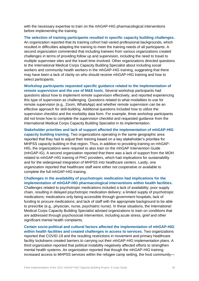with the necessary expertise to train on the mhGAP-HIG pharmacological interventions before implementing the training.

**The selection of training participants resulted in specific capacity building challenges.**  An organization reported that its training cohort had varied professional backgrounds, which resulted in difficulties adapting the training to meet the training needs of all participants. A second organization commented that including trainees from various organizations created challenges in terms of providing follow up and supervision, including the need to travel to multiple supervisee sites and the travel time involved. Other organizations directed questions to the International Medical Corps Capacity Building Specialist about including social workers and community health workers in the mhGAP-HIG training, suggesting that there may have been a lack of clarity on who should receive mhGAP-HIG training and how to select participants.

**Workshop participants requested specific guidance related to the implementation of remote supervision and the use of M&E tools.** Several workshop participants had questions about how to implement remote supervision effectively, and reported experiencing this type of supervision as challenging. Questions related to what modalities to use for remote supervision (e.g., Zoom, WhatsApp) and whether remote supervision can be an effective approach for skill-building. Additional questions included how to utilize the supervision checklist and the morbidity data form. For example, three workshop participants did not know how to complete the supervision checklist and requested guidance from the International Medical Corps Capacity Building Specialist in its implementation.

**Stakeholder priorities and lack of support affected the implementation of mhGAP-HIG capacity building training.** Two organizations operating in the same geographic area reported that they had to adjust their training based on a key stakeholder's priorities for MHPSS capacity building in that region. Thus, in addition to providing training on mhGAP-HIG, the organizations were required to also train on the mhGAP Intervention Guide (mhGAP-IG). A second organization reported that there was a lack of support from the MOH related to mhGAP-HIG training of PHC providers, which had implications for sustainability and for the widespread integration of MHPSS into healthcare centers. Lastly, one organization reported that healthcare staff were either not cooperative or available to complete the full mhGAP-HIG training.

#### **Challenges in the availability of psychotropic medication had implications for the implementation of mhGAP-HIG pharmacological interventions within health facilities.**

Challenges related to psychotropic medications included a lack of availability; poor supply chain, resulting in delayed psychotropic medication delivery; a limited supply of psychotropic medications; medications only being accessible through government hospitals; lack of funding to procure medications; and lack of staff with the appropriate background to be able to prescribe (e.g., physician, nurse, psychiatric nurse). In these situations, the International Medical Corps Capacity Building Specialist advised organizations to train on conditions that are addressed through psychosocial intervention, including acute stress, grief and other significant mental health complaints.

**Certain socio-political and cultural factors affected the implementation of mhGAP-HIG within health facilities and created challenges in access to services.** Two organizations reported that COVID-19 and the resulting restrictions in movement and primary healthcare facility lockdowns created barriers to carrying out their mhGAP-HIG implementation plans. A third organization reported that political instability negatively affected efforts to strengthen mental health systems. An organization reported that though the mhGAP-HIG training increased access to MHPSS services within the refugee camp setting, the host community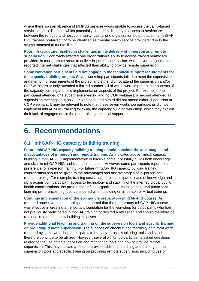where there was an absence of MHPSS services—was unable to access the camp-based services due to distance, which potentially created a disparity in access to healthcare between the refugee and host community. Lastly, one organization noted that some mhGAP-HIG trainees preferred not to be identified as "mental health service providers" due to the stigma attached to mental illness.

**Poor infrastructure resulted in challenges in the delivery of in-person and remote supervision.** Poor roads affected one organization's ability to access trained healthcare providers in more remote areas to deliver in-person supervision, while several organizations reported internet challenges that affected their ability to provide remote supervision.

**Some workshop participants did not engage in the technical support requirements for the capacity building project.** Seven workshop participants failed to meet the supervision and mentoring requirements of the project and either did not attend the supervision and/or COP webinars or only attended a limited number, all of which were important components of the capacity building and field implementation aspects of the project. For example, one participant attended one supervision meeting and no COP webinars; a second attended all supervision meetings, but no COP webinars; and a third did not attend either supervision or COP webinars. It may be relevant to note that these seven workshop participants did not implement mhGAP-HIG training following the capacity building workshop, which may explain their lack of engagement in the post-training technical support.

# <span id="page-26-0"></span>**6. Recommendations**

### <span id="page-26-1"></span>**6.1 mhGAP-HIG capacity building training**

**Future mhGAP-HIG capacity building training should consider the advantages and disadvantages of in-person and remote training.** As indicated above, virtual capacity building in mhGAP-HIG implementation is feasible and successfully builds both knowledge and skills in mhGAP-HIG and its implementation. However, some participants reported a preference for in-person training. For future mhGAP-HIG capacity building training, consideration should be given to the advantages and disadvantages of in-person and remote training. For example, training costs, access to participants, ease of knowledge and skills acquisition, participant access to technology and stability of the internet, global public health considerations, the preferences of the organizations' management and participant learning preferences might be considered when deciding on in-person or virtual training.

**Continue implementation of the six-module preparatory mhGAP-HIG course.** As reported above, workshop participants reported that the preparatory mhGAP-HIG course was effective in creating an important foundation for the workshop for participants who had not previously participated in mhGAP training or desired a refresher, and should therefore be retained in future capacity building initiatives.

**Provide additional teaching and training on the supervision tools and specific training on providing remote supervision.** The supervision checklist and morbidity data form were reported by some workshop participants to be easy-to-use monitoring tools and should therefore continue to be utilized. However, several workshop participants asked questions related to the use of the supervision and monitoring tools and how to provide remote supervision. This may indicate a need to provide additional teaching and training on the supervision tools and specific training on providing remote supervision, including use of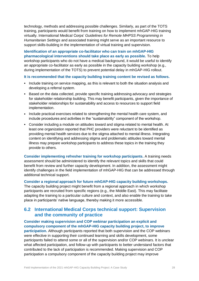technology, methods and addressing possible challenges. Similarly, as part of the TOTS training, participants would benefit from training on how to implement mhGAP-HIG training virtually. International Medical Corps' *Guidelines for Remote MHPSS Programming in Humanitarian Settings* and associated training might serve as an important resource to support skills-building in the implementation of virtual training and supervision.

**Identification of an appropriate co-facilitator who can train on mhGAP-HIG pharmacological interventions should take place as early as possible.** To help workshop participants who do not have a medical background, it would be useful to identify an appropriate co-facilitator as early as possible in the capacity building workshop (e.g., during implementation of the TOTS) to prevent potential delay in mhGAP-HIG rollout.

**It is recommended that the capacity building training content be revised as follows.**

- Include training on service mapping, as this is relevant to both the situation analysis and developing a referral system.
- Based on the data collected, provide specific training addressing advocacy and strategies for stakeholder relationship building. This may benefit participants, given the importance of stakeholder relationships for sustainability and access to resources to support field implementation.
- Include practical exercises related to strengthening the mental health care system, and include procedures and activities in the "sustainability" component of the workshop.
- Consider including a module on attitudes toward and stigma related to mental health. At least one organization reported that PHC providers were reluctant to be identified as providing mental health services due to the stigma attached to mental illness. Integrating content on identifying and addressing stigma and problematic attitudes toward mental illness may prepare workshop participants to address these topics in the training they provide to others.

**Consider implementing refresher training for workshop participants.** A training needs assessment should be administered to identify the relevant topics and skills that could benefit from review and further capacity development. In addition, the assessment might identify challenges in the field implementation of mhGAP-HIG that can be addressed through additional technical support.

#### **Consider a regional approach for future mhGAP-HIG capacity building workshops.**

The capacity building project might benefit from a regional approach in which workshop participants are recruited from specific regions (e.g., the Middle East). This may facilitate adapting the training to a particular culture and context, and also enable the training to take place in participants' native language, thereby making it more accessible.

### <span id="page-27-0"></span>**6.2 International Medical Corps technical support: Supervision and the community of practice**

**Consider making supervision and COP webinar participation an explicit and compulsory component of the mhGAP-HIG capacity building project, to improve participation.** Although participants reported that both supervision and the COP webinars were effective in supporting their continued learning and skills development, some participants failed to attend some or all of the supervision and/or COP webinars. It is unclear what affected participation, and follow-up with participants to better understand factors that contributed to the lack of participation is recommended. Making supervision and COP participation a compulsory component of the capacity building project may improve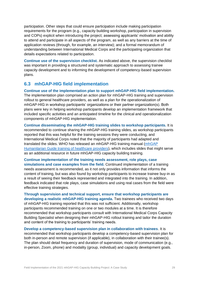participation. Other steps that could ensure participation include making participation requirements for the program (e.g., capacity building workshop, participation in supervision and COPs) explicit when introducing the project; assessing applicants' motivation and ability to attend and participate in all aspects of the program, as well as any barriers at the time of application reviews (through, for example, an interview); and a formal memorandum of understanding between International Medical Corps and the participating organization that details expectations related to participation.

**Continue use of the supervision checklist.** As indicated above, the supervision checklist was important in providing a structured and systematic approach to assessing trainee capacity development and to informing the development of competency-based supervision plans.

### <span id="page-28-0"></span>**6.3 mhGAP-HIG field implementation**

**Continue use of the implementation plan to support mhGAP-HIG field implementation.**  The implementation plan comprised an action plan for mhGAP-HIG training and supervision rollout to general healthcare providers, as well as a plan for the operationalization of mhGAP-HIG in workshop participants' organizations or their partner organization(s). Both plans were key in helping workshop participants develop an implementation framework that included specific activities and an anticipated timeline for the clinical and operationalization components of mhGAP-HIG implementation.

**Continue disseminating the mhGAP-HIG training slides to workshop participants.** It is recommended to continue sharing the mhGAP-HIG training slides, as workshop participants reported that this was helpful for the training sessions they were conducting, and International Medical Corps noted that the majority of participants had adapted and translated the slides. WHO has released an mhGAP-HIG training manual [\(mhGAP](https://www.who.int/publications/i/item/9789240045361)  [Humanitarian Guide training of healthcare providers\)](https://www.who.int/publications/i/item/9789240045361), which includes slides that might serve as an additional resource in future mhGAP-HIG capacity building training.

**Continue implementation of the training needs assessment, role plays, case simulations and case examples from the field.** Continued implementation of a training needs assessment is recommended, as it not only provides information that informs the content of training, but was also found by workshop participants to increase trainee buy-in as a result of seeing their feedback represented and integrated into the training. In addition, feedback indicated that role plays, case simulations and using real cases from the field were effective training strategies.

**Through supervision and technical support, ensure that workshop participants are developing a realistic mhGAP-HIG training agenda.** Two trainees who received two days of mhGAP-HIG training reported that this was not sufficient. Additionally, workshop participants recommended training on one or two modules at a time. It is therefore recommended that workshop participants consult with International Medical Corps Capacity Building Specialist when designing their mhGAP-HIG rollout training and tailor the duration and content of the training to participants' training needs.

**Develop a competency-based supervision plan in collaboration with trainees**. It is recommended that workshop participants develop a competency-based supervision plan for both in-person and remote supervision (if applicable), in collaboration with their trainee(s). The plan should detail frequency and duration of supervision, mode of communication (e.g., in-person, Zoom, phone) and modality (group, individual) and capacity development goals.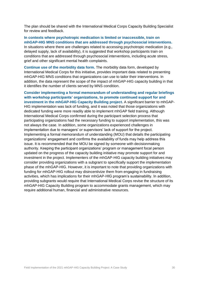The plan should be shared with the International Medical Corps Capacity Building Specialist for review and feedback.

**In contexts where psychotropic medication is limited or inaccessible, train on mhGAP-HIG MNS conditions that are addressed through psychosocial interventions.** In situations where there are challenges related to accessing psychotropic medication (e.g., delayed supply, lack of availability), it is suggested that workshop participants train on conditions that are addressed through psychosocial interventions, including acute stress, grief and other significant mental health complaints.

**Continue use of the morbidity data form.** The morbidity data form, developed by International Medical Corps for this initiative, provides important data related to presenting mhGAP-HIG MNS conditions that organizations can use to tailor their interventions. In addition, the data represent the scope of the impact of mhGAP-HIG capacity building in that it identifies the number of clients served by MNS condition.

**Consider implementing a formal memorandum of understanding and regular briefings with workshop participants' organizations, to promote continued support for and investment in the mhGAP-HIG Capacity Building project.** A significant barrier to mhGAP-HIG implementation was lack of funding, and it was noted that those organizations with dedicated funding were more readily able to implement mhGAP field training. Although International Medical Corps confirmed during the participant selection process that participating organizations had the necessary funding to support implementation, this was not always the case. In addition, some organizations experienced challenges in implementation due to managers' or supervisors' lack of support for the project. Implementing a formal memorandum of understanding (MOU) that details the participating organizations' engagement and confirms the availability of funds may help address this issue. It is recommended that the MOU be signed by someone with decisionmaking authority. Keeping the participant organizations' program or management focal person updated on the progress of the capacity building initiative may promote support for and investment in the project. Implementers of the mhGAP-HIG capacity building initiatives may consider providing organizations with a subgrant to specifically support the implementation phase of the mhGAP-HIG. However, it is important to note that providing organizations with funding for mhGAP-HIG rollout may disincentivize them from engaging in fundraising activities, which has implications for their mhGAP-HIG program's sustainability. In addition, providing subgrants would require that International Medical Corps revise the structure of its mhGAP-HIG Capacity Building program to accommodate grants management, which may require additional human, financial and administrative resources.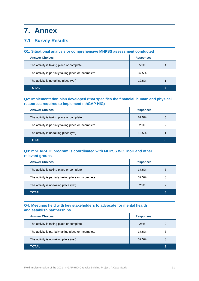# <span id="page-30-0"></span>**7. Annex**

# **7.1 Survey Results**

#### **Q1: Situational analysis or comprehensive MHPSS assessment conducted**

| <b>Answer Choices</b>                                | <b>Responses</b> |   |
|------------------------------------------------------|------------------|---|
| The activity is taking place or complete             | 50%              | 4 |
| The activity is partially taking place or incomplete | 37.5%            | 3 |
| The activity is no taking place (yet)                | 12.5%            |   |
| <b>TOTAL</b>                                         |                  | 8 |

#### **Q2: Implementation plan developed (that specifies the financial, human and physical resources required to implement mhGAP-HIG)**

| <b>Answer Choices</b>                                | <b>Responses</b> |   |
|------------------------------------------------------|------------------|---|
| The activity is taking place or complete             | 62.5%            | 5 |
| The activity is partially taking place or incomplete | 25%              | 2 |
| The activity is no taking place (yet)                | 12.5%            |   |
| <b>TOTAL</b>                                         |                  | 8 |

#### **Q3: mhGAP-HIG program is coordinated with MHPSS WG, MoH and other relevant groups**

| <b>Answer Choices</b>                                | <b>Responses</b> |   |
|------------------------------------------------------|------------------|---|
| The activity is taking place or complete             | 37.5%            | 3 |
| The activity is partially taking place or incomplete | 37.5%            | 3 |
| The activity is no taking place (yet)                | 25%              | 2 |
| <b>TOTAL</b>                                         |                  | 8 |

#### **Q4: Meetings held with key stakeholders to advocate for mental health and establish partnerships**

| <b>Answer Choices</b>                                | <b>Responses</b> |   |
|------------------------------------------------------|------------------|---|
| The activity is taking place or complete             | <b>25%</b>       | 2 |
| The activity is partially taking place or incomplete | 37.5%            | 3 |
| The activity is no taking place (yet)                | 37.5%            | 3 |
| TOTAL                                                |                  | 8 |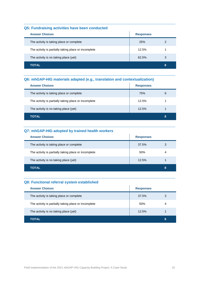#### **Q5: Fundraising activities have been conducted**

| <b>Answer Choices</b>                                | <b>Responses</b> |   |
|------------------------------------------------------|------------------|---|
| The activity is taking place or complete             | 25%              | 2 |
| The activity is partially taking place or incomplete | 12.5%            |   |
| The activity is no taking place (yet)                | 62.5%            | 3 |
| <b>TOTAL</b>                                         |                  | 8 |

#### **Q6: mhGAP-HIG materials adapted (e.g., translation and contextualization)**

| <b>Answer Choices</b>                                | <b>Responses</b> |   |
|------------------------------------------------------|------------------|---|
| The activity is taking place or complete             | 75%              | 6 |
| The activity is partially taking place or incomplete | 12.5%            |   |
| The activity is no taking place (yet)                | 12.5%            |   |
| <b>TOTAL</b>                                         |                  | 8 |

### **Q7: mhGAP-HIG adopted by trained health workers**

| <b>Answer Choices</b>                                | <b>Responses</b> |   |
|------------------------------------------------------|------------------|---|
| The activity is taking place or complete             | 37.5%            | 3 |
| The activity is partially taking place or incomplete | 50%              | 4 |
| The activity is no taking place (yet)                | 12.5%            |   |
| TOTAL                                                |                  | 8 |

#### **Q8: Functional referral system established**

| <b>Answer Choices</b>                                | <b>Responses</b> |   |
|------------------------------------------------------|------------------|---|
| The activity is taking place or complete             | 37.5%            | 3 |
| The activity is partially taking place or incomplete | 50%              | 4 |
| The activity is no taking place (yet)                | 12.5%            |   |
| TOTAL                                                |                  | 8 |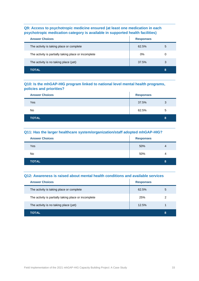#### **Q9: Access to psychotropic medicine ensured (at least one medication in each psychotropic medication category is available in supported health facilities)**

| <b>Answer Choices</b>                                | <b>Responses</b> |   |
|------------------------------------------------------|------------------|---|
| The activity is taking place or complete             | 62.5%            | 5 |
| The activity is partially taking place or incomplete | 0%               | 0 |
| The activity is no taking place (yet)                | 37.5%            | 3 |
| TOTAL                                                |                  | 8 |

#### **Q10: Is the mhGAP-HIG program linked to national level mental health programs, policies and priorities?**

| <b>Answer Choices</b> | <b>Responses</b> |   |
|-----------------------|------------------|---|
| Yes                   | 37.5%            | 3 |
| No                    | 62.5%            | 5 |
| <b>TOTAL</b>          |                  | 8 |

#### **Q11: Has the larger healthcare system/organization/staff adopted mhGAP-HIG?**

| <b>Answer Choices</b> | <b>Responses</b> |                |
|-----------------------|------------------|----------------|
| Yes                   | 50%              | 4              |
| No                    | 50%              | $\overline{4}$ |
| <b>TOTAL</b>          |                  | 8              |

#### **Q12: Awareness is raised about mental health conditions and available services**

| <b>Answer Choices</b>                                | <b>Responses</b> |   |
|------------------------------------------------------|------------------|---|
| The activity is taking place or complete             | 62.5%            | 5 |
| The activity is partially taking place or incomplete | 25%              | 2 |
| The activity is no taking place (yet)                | 12.5%            |   |
| TOTAL                                                |                  | 8 |